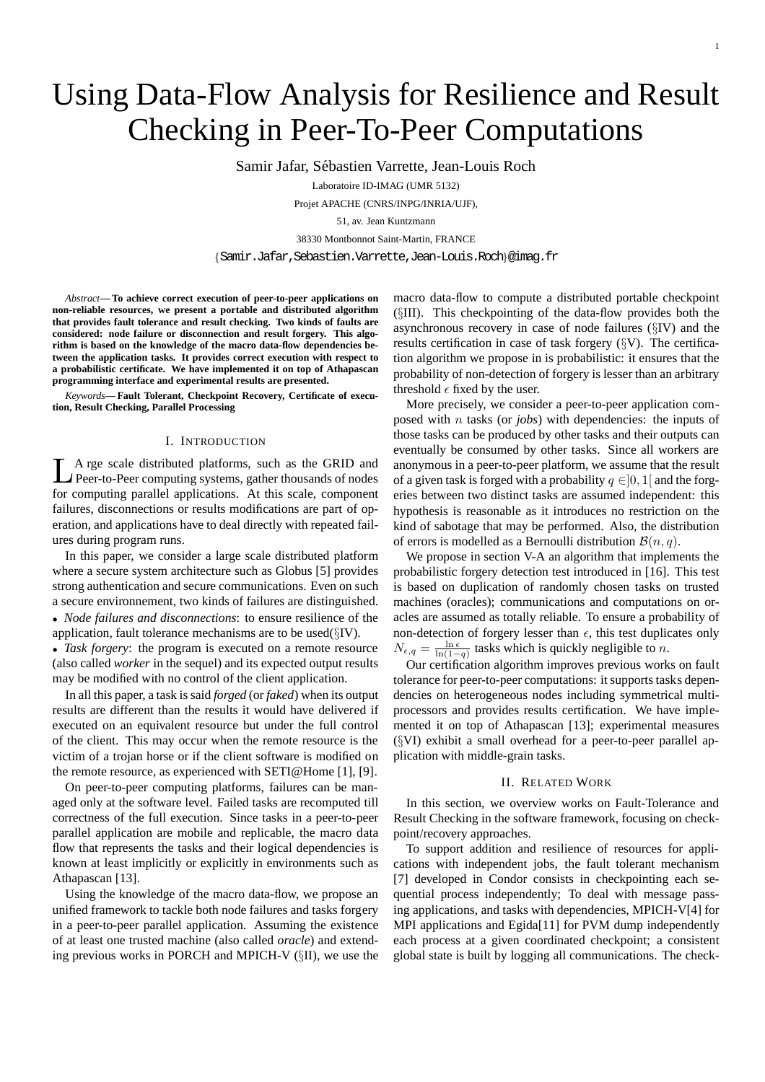# Using Data-Flow Analysis for Resilience and Result Checking in Peer-To-Peer Computations

Samir Jafar, Sebastien Varrette, Jean-Louis Roch ´

Laboratoire ID-IMAG (UMR 5132)

Projet APACHE (CNRS/INPG/INRIA/UJF),

51, av. Jean Kuntzmann

38330 Montbonnot Saint-Martin, FRANCE

{Samir.Jafar,Sebastien.Varrette,Jean-Louis.Roch}@imag.fr

*Abstract***— To achieve correct execution of peer-to-peer applications on non-reliable resources, we present a portable and distributed algorithm that provides fault tolerance and result checking. Two kinds of faults are considered: node failure or disconnection and result forgery. This algorithm is based on the knowledge of the macro data-flow dependencies between the application tasks. It provides correct execution with respect to a probabilistic certificate. We have implemented it on top of Athapascan programming interface and experimental results are presented.**

*Keywords***— Fault Tolerant, Checkpoint Recovery, Certificate of execution, Result Checking, Parallel Processing**

# I. INTRODUCTION

**L** A rge scale distributed platforms, such as the GRID and Peer-to-Peer computing systems, gather thousands of nodes A rge scale distributed platforms, such as the GRID and for computing parallel applications. At this scale, component failures, disconnections or results modifications are part of operation, and applications have to deal directly with repeated failures during program runs.

In this paper, we consider a large scale distributed platform where a secure system architecture such as Globus [5] provides strong authentication and secure communications. Even on such a secure environnement, two kinds of failures are distinguished.

• *Node failures and disconnections*: to ensure resilience of the application, fault tolerance mechanisms are to be used(§IV).

• *Task forgery*: the program is executed on a remote resource (also called *worker* in the sequel) and its expected output results may be modified with no control of the client application.

In all this paper, a task is said *forged* (or *faked*) when its output results are different than the results it would have delivered if executed on an equivalent resource but under the full control of the client. This may occur when the remote resource is the victim of a trojan horse or if the client software is modified on the remote resource, as experienced with SETI@Home [1], [9].

On peer-to-peer computing platforms, failures can be managed only at the software level. Failed tasks are recomputed till correctness of the full execution. Since tasks in a peer-to-peer parallel application are mobile and replicable, the macro data flow that represents the tasks and their logical dependencies is known at least implicitly or explicitly in environments such as Athapascan [13].

Using the knowledge of the macro data-flow, we propose an unified framework to tackle both node failures and tasks forgery in a peer-to-peer parallel application. Assuming the existence of at least one trusted machine (also called *oracle*) and extending previous works in PORCH and MPICH-V (§II), we use the macro data-flow to compute a distributed portable checkpoint (§III). This checkpointing of the data-flow provides both the asynchronous recovery in case of node failures (§IV) and the results certification in case of task forgery (§V). The certification algorithm we propose in is probabilistic: it ensures that the probability of non-detection of forgery is lesser than an arbitrary threshold  $\epsilon$  fixed by the user.

More precisely, we consider a peer-to-peer application composed with n tasks (or *jobs*) with dependencies: the inputs of those tasks can be produced by other tasks and their outputs can eventually be consumed by other tasks. Since all workers are anonymous in a peer-to-peer platform, we assume that the result of a given task is forged with a probability  $q \in ]0,1[$  and the forgeries between two distinct tasks are assumed independent: this hypothesis is reasonable as it introduces no restriction on the kind of sabotage that may be performed. Also, the distribution of errors is modelled as a Bernoulli distribution  $\mathcal{B}(n, q)$ .

We propose in section V-A an algorithm that implements the probabilistic forgery detection test introduced in [16]. This test is based on duplication of randomly chosen tasks on trusted machines (oracles); communications and computations on oracles are assumed as totally reliable. To ensure a probability of non-detection of forgery lesser than  $\epsilon$ , this test duplicates only  $N_{\epsilon,q} = \frac{\ln \epsilon}{\ln(1-q)}$  tasks which is quickly negligible to n.

Our certification algorithm improves previous works on fault tolerance for peer-to-peer computations: it supports tasks dependencies on heterogeneous nodes including symmetrical multiprocessors and provides results certification. We have implemented it on top of Athapascan [13]; experimental measures (§VI) exhibit a small overhead for a peer-to-peer parallel application with middle-grain tasks.

## II. RELATED WORK

In this section, we overview works on Fault-Tolerance and Result Checking in the software framework, focusing on checkpoint/recovery approaches.

To support addition and resilience of resources for applications with independent jobs, the fault tolerant mechanism [7] developed in Condor consists in checkpointing each sequential process independently; To deal with message passing applications, and tasks with dependencies, MPICH-V[4] for MPI applications and Egida<sup>[11]</sup> for PVM dump independently each process at a given coordinated checkpoint; a consistent global state is built by logging all communications. The check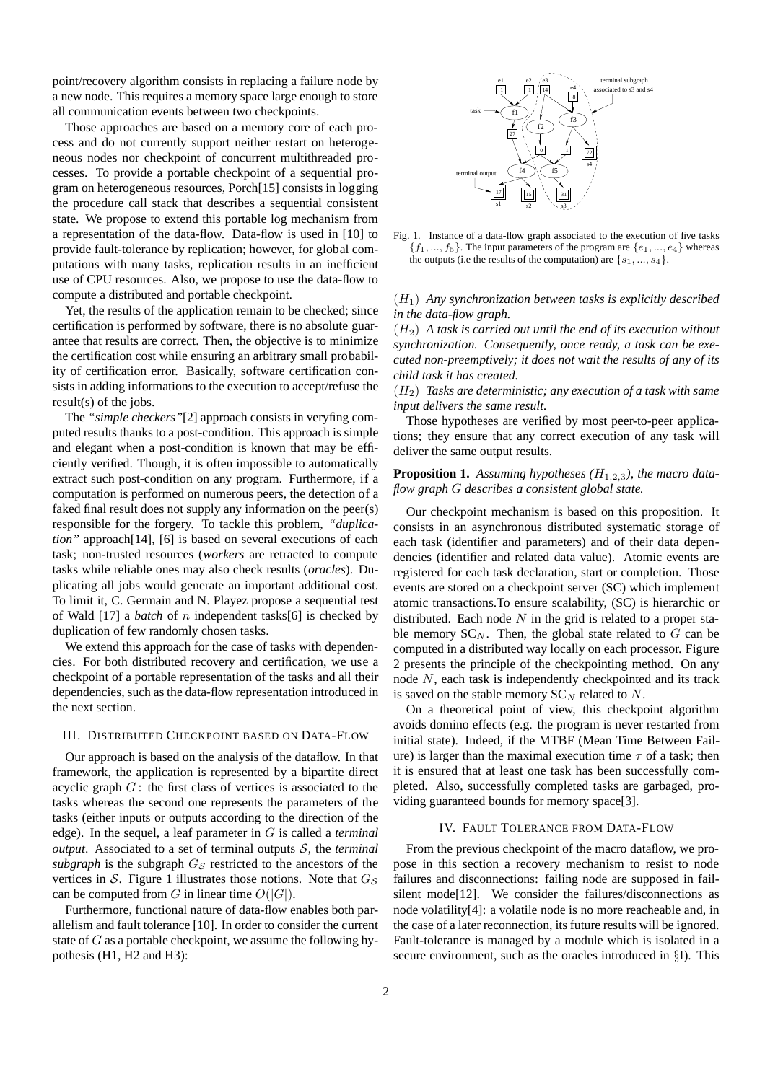point/recovery algorithm consists in replacing a failure node by a new node. This requires a memory space large enough to store all communication events between two checkpoints.

Those approaches are based on a memory core of each process and do not currently support neither restart on heterogeneous nodes nor checkpoint of concurrent multithreaded processes. To provide a portable checkpoint of a sequential program on heterogeneous resources, Porch[15] consists in logging the procedure call stack that describes a sequential consistent state. We propose to extend this portable log mechanism from a representation of the data-flow. Data-flow is used in [10] to provide fault-tolerance by replication; however, for global computations with many tasks, replication results in an inefficient use of CPU resources. Also, we propose to use the data-flow to compute a distributed and portable checkpoint.

Yet, the results of the application remain to be checked; since certification is performed by software, there is no absolute guarantee that results are correct. Then, the objective is to minimize the certification cost while ensuring an arbitrary small probability of certification error. Basically, software certification consists in adding informations to the execution to accept/refuse the result(s) of the jobs.

The *"simple checkers"*[2] approach consists in veryfing computed results thanks to a post-condition. This approach is simple and elegant when a post-condition is known that may be efficiently verified. Though, it is often impossible to automatically extract such post-condition on any program. Furthermore, if a computation is performed on numerous peers, the detection of a faked final result does not supply any information on the peer(s) responsible for the forgery. To tackle this problem, *"duplication"* approach[14], [6] is based on several executions of each task; non-trusted resources (*workers* are retracted to compute tasks while reliable ones may also check results (*oracles*). Duplicating all jobs would generate an important additional cost. To limit it, C. Germain and N. Playez propose a sequential test of Wald [17] a *batch* of n independent tasks[6] is checked by duplication of few randomly chosen tasks.

We extend this approach for the case of tasks with dependencies. For both distributed recovery and certification, we use a checkpoint of a portable representation of the tasks and all their dependencies, such as the data-flow representation introduced in the next section.

#### III. DISTRIBUTED CHECKPOINT BASED ON DATA-FLOW

Our approach is based on the analysis of the dataflow. In that framework, the application is represented by a bipartite direct acyclic graph  $G$ : the first class of vertices is associated to the tasks whereas the second one represents the parameters of the tasks (either inputs or outputs according to the direction of the edge). In the sequel, a leaf parameter in G is called a *terminal output*. Associated to a set of terminal outputs S, the *terminal*  $subgraph$  is the subgraph  $G<sub>S</sub>$  restricted to the ancestors of the vertices in S. Figure 1 illustrates those notions. Note that  $G<sub>S</sub>$ can be computed from G in linear time  $O(|G|)$ .

Furthermore, functional nature of data-flow enables both parallelism and fault tolerance [10]. In order to consider the current state of  $G$  as a portable checkpoint, we assume the following hypothesis (H1, H2 and H3):



Fig. 1. Instance of a data-flow graph associated to the execution of five tasks  ${f_1, ..., f_5}$ . The input parameters of the program are  ${e_1, ..., e_4}$  whereas the outputs (i.e the results of the computation) are  $\{s_1, ..., s_4\}$ .

# $(H_1)$  *Any synchronization between tasks is explicitly described in the data-flow graph.*

(H2) *A task is carried out until the end of its execution without synchronization. Consequently, once ready, a task can be executed non-preemptively; it does not wait the results of any of its child task it has created.*

(H2) *Tasks are deterministic; any execution of a task with same input delivers the same result.*

Those hypotheses are verified by most peer-to-peer applications; they ensure that any correct execution of any task will deliver the same output results.

# **Proposition 1.** Assuming hypotheses  $(H_{1,2,3})$ , the macro data*flow graph* G *describes a consistent global state.*

Our checkpoint mechanism is based on this proposition. It consists in an asynchronous distributed systematic storage of each task (identifier and parameters) and of their data dependencies (identifier and related data value). Atomic events are registered for each task declaration, start or completion. Those events are stored on a checkpoint server (SC) which implement atomic transactions.To ensure scalability, (SC) is hierarchic or distributed. Each node  $N$  in the grid is related to a proper stable memory  $SC_N$ . Then, the global state related to G can be computed in a distributed way locally on each processor. Figure 2 presents the principle of the checkpointing method. On any node N, each task is independently checkpointed and its track is saved on the stable memory  $SC_N$  related to N.

On a theoretical point of view, this checkpoint algorithm avoids domino effects (e.g. the program is never restarted from initial state). Indeed, if the MTBF (Mean Time Between Failure) is larger than the maximal execution time  $\tau$  of a task; then it is ensured that at least one task has been successfully completed. Also, successfully completed tasks are garbaged, providing guaranteed bounds for memory space[3].

# IV. FAULT TOLERANCE FROM DATA-FLOW

From the previous checkpoint of the macro dataflow, we propose in this section a recovery mechanism to resist to node failures and disconnections: failing node are supposed in failsilent mode[12]. We consider the failures/disconnections as node volatility[4]: a volatile node is no more reacheable and, in the case of a later reconnection, its future results will be ignored. Fault-tolerance is managed by a module which is isolated in a secure environment, such as the oracles introduced in §I). This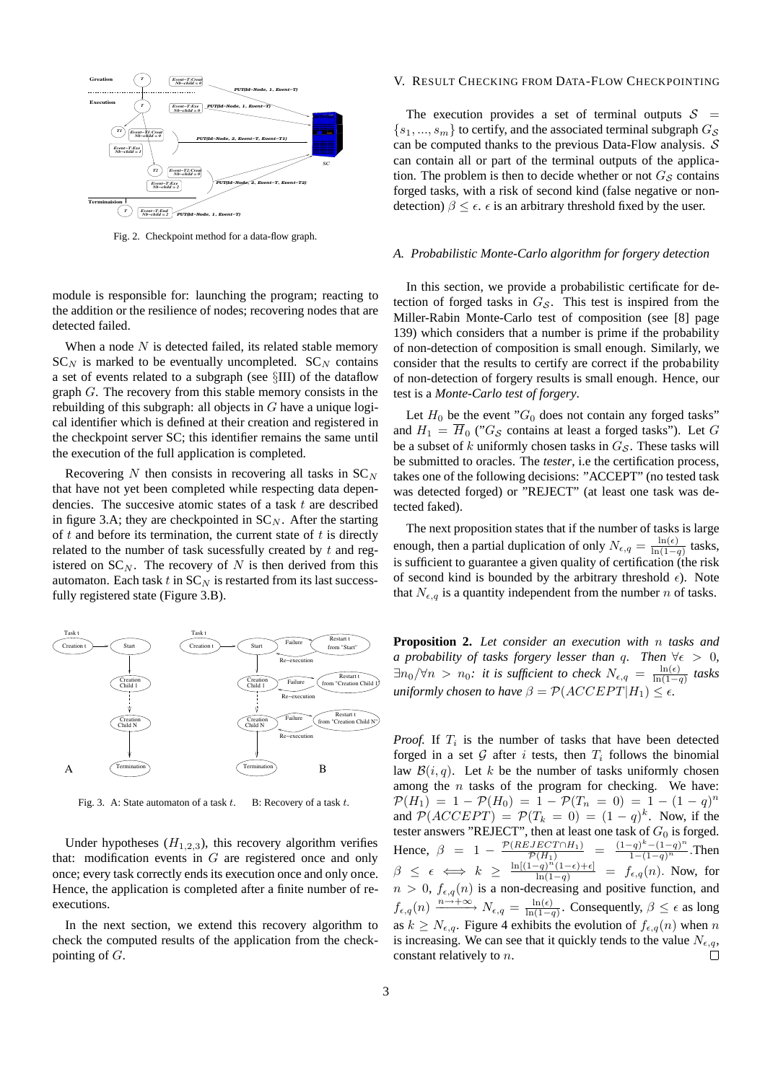

Fig. 2. Checkpoint method for a data-flow graph.

module is responsible for: launching the program; reacting to the addition or the resilience of nodes; recovering nodes that are detected failed.

When a node  $N$  is detected failed, its related stable memory  $SC_N$  is marked to be eventually uncompleted.  $SC_N$  contains a set of events related to a subgraph (see §III) of the dataflow graph G. The recovery from this stable memory consists in the rebuilding of this subgraph: all objects in  $G$  have a unique logical identifier which is defined at their creation and registered in the checkpoint server SC; this identifier remains the same until the execution of the full application is completed.

Recovering N then consists in recovering all tasks in  $SC_N$ that have not yet been completed while respecting data dependencies. The succesive atomic states of a task  $t$  are described in figure 3.A; they are checkpointed in  $SC_N$ . After the starting of  $t$  and before its termination, the current state of  $t$  is directly related to the number of task sucessfully created by t and registered on  $SC_N$ . The recovery of N is then derived from this automaton. Each task  $t$  in  $SC_N$  is restarted from its last successfully registered state (Figure 3.B).



Fig. 3. A: State automaton of a task  $t$ . B: Recovery of a task  $t$ .

Under hypotheses  $(H_{1,2,3})$ , this recovery algorithm verifies that: modification events in  $G$  are registered once and only once; every task correctly ends its execution once and only once. Hence, the application is completed after a finite number of reexecutions.

In the next section, we extend this recovery algorithm to check the computed results of the application from the checkpointing of G.

#### V. RESULT CHECKING FROM DATA-FLOW CHECKPOINTING

The execution provides a set of terminal outputs  $S =$  $\{s_1, ..., s_m\}$  to certify, and the associated terminal subgraph  $G_S$ can be computed thanks to the previous Data-Flow analysis.  $S$ can contain all or part of the terminal outputs of the application. The problem is then to decide whether or not  $G<sub>S</sub>$  contains forged tasks, with a risk of second kind (false negative or nondetection)  $\beta \leq \epsilon$ .  $\epsilon$  is an arbitrary threshold fixed by the user.

#### *A. Probabilistic Monte-Carlo algorithm for forgery detection*

In this section, we provide a probabilistic certificate for detection of forged tasks in  $G<sub>S</sub>$ . This test is inspired from the Miller-Rabin Monte-Carlo test of composition (see [8] page 139) which considers that a number is prime if the probability of non-detection of composition is small enough. Similarly, we consider that the results to certify are correct if the probability of non-detection of forgery results is small enough. Hence, our test is a *Monte-Carlo test of forgery*.

Let  $H_0$  be the event " $G_0$  does not contain any forged tasks" and  $H_1 = \overline{H}_0$  (" $G_S$  contains at least a forged tasks"). Let G be a subset of  $k$  uniformly chosen tasks in  $G_{\mathcal{S}}$ . These tasks will be submitted to oracles. The *tester*, i.e the certification process, takes one of the following decisions: "ACCEPT" (no tested task was detected forged) or "REJECT" (at least one task was detected faked).

The next proposition states that if the number of tasks is large enough, then a partial duplication of only  $N_{\epsilon,q} = \frac{\ln(\epsilon)}{\ln(1-q)}$  tasks, is sufficient to guarantee a given quality of certification (the risk of second kind is bounded by the arbitrary threshold  $\epsilon$ ). Note that  $N_{\epsilon,q}$  is a quantity independent from the number n of tasks.

**Proposition 2.** *Let consider an execution with* n *tasks and a probability of tasks forgery lesser than* q. Then  $\forall \epsilon > 0$ ,  $\exists n_0/\forall n > n_0$ : it is sufficient to check  $N_{\epsilon,q} = \frac{\ln(\epsilon)}{\ln(1-q)}$  tasks *uniformly chosen to have*  $\beta = \mathcal{P}(ACCEPT|H_1) \leq \epsilon$ .

*Proof.* If  $T_i$  is the number of tasks that have been detected forged in a set  $G$  after i tests, then  $T_i$  follows the binomial law  $\mathcal{B}(i, q)$ . Let k be the number of tasks uniformly chosen among the  $n$  tasks of the program for checking. We have:  $\mathcal{P}(H_1) = 1 - \mathcal{P}(H_0) = 1 - \mathcal{P}(T_n = 0) = 1 - (1 - q)^n$ and  $\mathcal{P}(ACCEPT) = \mathcal{P}(T_k = 0) = (1 - q)^k$ . Now, if the tester answers "REJECT", then at least one task of  $G_0$  is forged. Hence,  $\beta = 1 - \frac{\mathcal{P}(REJECT \cap H_1)}{\mathcal{P}(H_1)} = \frac{(1-q)^k - (1-q)^n}{1 - (1-q)^n}$ . Then  $\beta \leq \epsilon \iff k \geq \frac{\ln[(1-q)^n(1-\epsilon)+\epsilon]}{\ln(1-q)} = f_{\epsilon,q}(n)$ . Now, for  $n > 0$ ,  $f_{\epsilon,q}(n)$  is a non-decreasing and positive function, and  $f_{\epsilon,q}(n) \xrightarrow{n \to +\infty} N_{\epsilon,q} = \frac{\ln(\epsilon)}{\ln(1-q)}$ . Consequently,  $\beta \leq \epsilon$  as long as  $k \geq N_{\epsilon,q}$ . Figure 4 exhibits the evolution of  $f_{\epsilon,q}(n)$  when n is increasing. We can see that it quickly tends to the value  $N_{\epsilon,q}$ , constant relatively to n.  $\Box$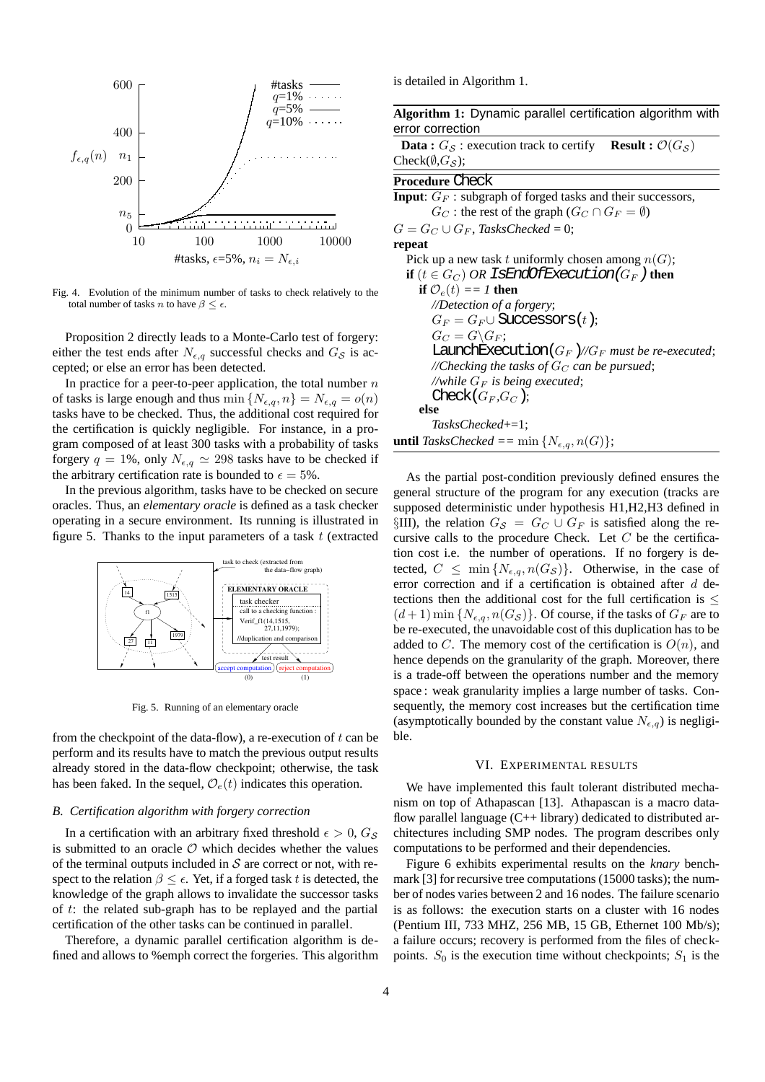

Fig. 4. Evolution of the minimum number of tasks to check relatively to the total number of tasks n to have  $\beta \leq \epsilon$ .

Proposition 2 directly leads to a Monte-Carlo test of forgery: either the test ends after  $N_{\epsilon,q}$  successful checks and  $G_{\mathcal{S}}$  is accepted; or else an error has been detected.

In practice for a peer-to-peer application, the total number  $n$ of tasks is large enough and thus min  $\{N_{\epsilon,q}, n\} = N_{\epsilon,q} = o(n)$ tasks have to be checked. Thus, the additional cost required for the certification is quickly negligible. For instance, in a program composed of at least 300 tasks with a probability of tasks forgery  $q = 1\%$ , only  $N_{\epsilon,q} \simeq 298$  tasks have to be checked if the arbitrary certification rate is bounded to  $\epsilon = 5\%$ .

In the previous algorithm, tasks have to be checked on secure oracles. Thus, an *elementary oracle* is defined as a task checker operating in a secure environment. Its running is illustrated in figure 5. Thanks to the input parameters of a task  $t$  (extracted



Fig. 5. Running of an elementary oracle

from the checkpoint of the data-flow), a re-execution of  $t$  can be perform and its results have to match the previous output results already stored in the data-flow checkpoint; otherwise, the task has been faked. In the sequel,  $\mathcal{O}_e(t)$  indicates this operation.

## *B. Certification algorithm with forgery correction*

In a certification with an arbitrary fixed threshold  $\epsilon > 0$ ,  $G_S$ is submitted to an oracle  $O$  which decides whether the values of the terminal outputs included in  $S$  are correct or not, with respect to the relation  $\beta \leq \epsilon$ . Yet, if a forged task t is detected, the knowledge of the graph allows to invalidate the successor tasks of t: the related sub-graph has to be replayed and the partial certification of the other tasks can be continued in parallel.

Therefore, a dynamic parallel certification algorithm is defined and allows to %emph correct the forgeries. This algorithm is detailed in Algorithm 1.

**Algorithm 1:** Dynamic parallel certification algorithm with error correction

**Data :**  $G_S$  : execution track to certify **Result :**  $\mathcal{O}(G_S)$ Check( $\emptyset$ , $G_S$ );

# **Procedure** Check

**Input**:  $G_F$ : subgraph of forged tasks and their successors,  $G_C$ : the rest of the graph  $(G_C \cap G_F = \emptyset)$  $G = G_C \cup G_F$ , *TasksChecked* = 0; **repeat** Pick up a new task t uniformly chosen among  $n(G)$ ; **if**  $(t \in G_C)$  *OR* IsEndOfExecution( $G_F$ ) then **if**  $\mathcal{O}_e(t) = I$  **then** *//Detection of a forgery*;  $G_F = G_F \cup$  Successors $(t)$ ;  $G_C = G \backslash G_F$ ; LaunchExecution $(G_F)/\sqrt{G_F}$  *must be re-executed*;  $\mathcal{O}/\mathcal{O}$  *//Checking the tasks of*  $G_C$  *can be pursued*; //while  $G_F$  *is being executed*; Check $(G_F,G_C)$ ; **else** *TasksChecked*+=1; **until** *TasksChecked* ==  $\min \{N_{\epsilon,q}, n(G)\};$ 

As the partial post-condition previously defined ensures the general structure of the program for any execution (tracks are supposed deterministic under hypothesis H1,H2,H3 defined in §III), the relation  $G_S = G_C \cup G_F$  is satisfied along the recursive calls to the procedure Check. Let  $C$  be the certification cost i.e. the number of operations. If no forgery is detected,  $C \leq \min\{N_{\epsilon,q}, n(G_{\mathcal{S}})\}\$ . Otherwise, in the case of error correction and if a certification is obtained after d detections then the additional cost for the full certification is  $\leq$  $(d+1)$  min  $\{N_{\epsilon,q}, n(G_{\mathcal{S}})\}\)$ . Of course, if the tasks of  $G_F$  are to be re-executed, the unavoidable cost of this duplication has to be added to C. The memory cost of the certification is  $O(n)$ , and hence depends on the granularity of the graph. Moreover, there is a trade-off between the operations number and the memory space : weak granularity implies a large number of tasks. Consequently, the memory cost increases but the certification time (asymptotically bounded by the constant value  $N_{\epsilon,q}$ ) is negligible.

## VI. EXPERIMENTAL RESULTS

We have implemented this fault tolerant distributed mechanism on top of Athapascan [13]. Athapascan is a macro dataflow parallel language  $(C++$  library) dedicated to distributed architectures including SMP nodes. The program describes only computations to be performed and their dependencies.

Figure 6 exhibits experimental results on the *knary* benchmark [3] for recursive tree computations (15000 tasks); the number of nodes varies between 2 and 16 nodes. The failure scenario is as follows: the execution starts on a cluster with 16 nodes (Pentium III, 733 MHZ, 256 MB, 15 GB, Ethernet 100 Mb/s); a failure occurs; recovery is performed from the files of checkpoints.  $S_0$  is the execution time without checkpoints;  $S_1$  is the